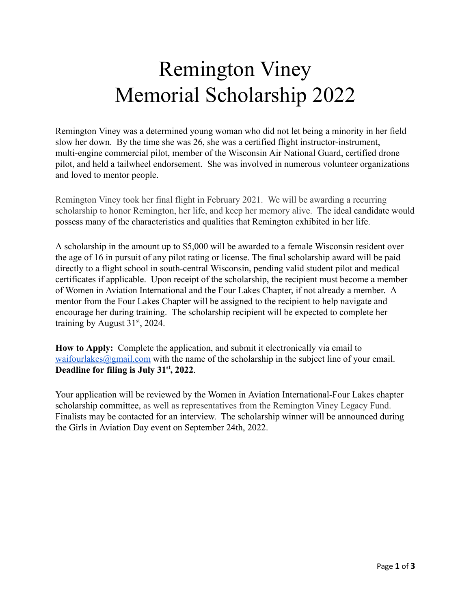# Remington Viney Memorial Scholarship 2022

 Remington Viney was a determined young woman who did not let being a minority in her field slow her down. By the time she was 26, she was a certified flight instructor-instrument, multi-engine commercial pilot, member of the Wisconsin Air National Guard, certified drone pilot, and held a tailwheel endorsement. She was involved in numerous volunteer organizations and loved to mentor people.

 Remington Viney took her final flight in February 2021. We will be awarding a recurring scholarship to honor Remington, her life, and keep her memory alive. The ideal candidate would possess many of the characteristics and qualities that Remington exhibited in her life.

 A scholarship in the amount up to \$5,000 will be awarded to a female Wisconsin resident over the age of 16 in pursuit of any pilot rating or license. The final scholarship award will be paid directly to a flight school in south-central Wisconsin, pending valid student pilot and medical certificates if applicable. Upon receipt of the scholarship, the recipient must become a member of Women in Aviation International and the Four Lakes Chapter, if not already a member. A mentor from the Four Lakes Chapter will be assigned to the recipient to help navigate and encourage her during training. The scholarship recipient will be expected to complete her training by August  $31<sup>st</sup>$ , 2024.

 **How to Apply:** Complete the application, and submit it electronically via email to waifourlakes $@g$ mail.com with the name of the scholarship in the subject line of your email. **Deadline for filing is July 31<sup>st</sup>, 2022.** 

 Your application will be reviewed by the Women in Aviation International-Four Lakes chapter scholarship committee, as well as representatives from the Remington Viney Legacy Fund. Finalists may be contacted for an interview. The scholarship winner will be announced during the Girls in Aviation Day event on September 24th, 2022.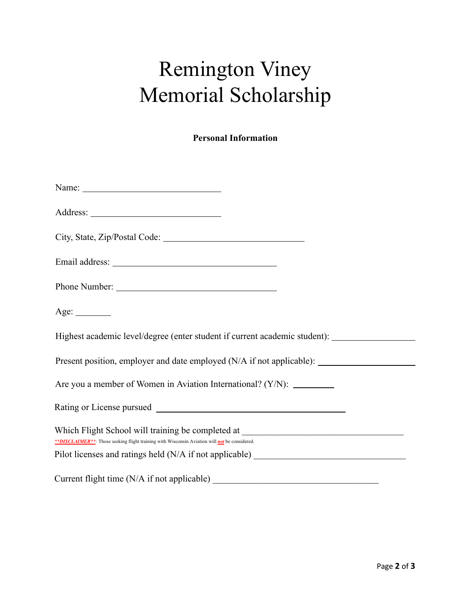# Remington Viney Memorial Scholarship

 **Personal Information** 

| Name: $\frac{1}{\sqrt{1-\frac{1}{2}}\sqrt{1-\frac{1}{2}}\sqrt{1-\frac{1}{2}}\sqrt{1-\frac{1}{2}}\sqrt{1-\frac{1}{2}}\sqrt{1-\frac{1}{2}}\sqrt{1-\frac{1}{2}}\sqrt{1-\frac{1}{2}}\sqrt{1-\frac{1}{2}}\sqrt{1-\frac{1}{2}}\sqrt{1-\frac{1}{2}}\sqrt{1-\frac{1}{2}}\sqrt{1-\frac{1}{2}}\sqrt{1-\frac{1}{2}}\sqrt{1-\frac{1}{2}}\sqrt{1-\frac{1}{2}}\sqrt{1-\frac{1}{2}}\sqrt{1-\frac{1}{2}}\sqrt{1-\frac{1}{2}}$ |
|---------------------------------------------------------------------------------------------------------------------------------------------------------------------------------------------------------------------------------------------------------------------------------------------------------------------------------------------------------------------------------------------------------------|
|                                                                                                                                                                                                                                                                                                                                                                                                               |
|                                                                                                                                                                                                                                                                                                                                                                                                               |
|                                                                                                                                                                                                                                                                                                                                                                                                               |
|                                                                                                                                                                                                                                                                                                                                                                                                               |
| Age:                                                                                                                                                                                                                                                                                                                                                                                                          |
| Highest academic level/degree (enter student if current academic student): ________________________                                                                                                                                                                                                                                                                                                           |
| Present position, employer and date employed (N/A if not applicable): ______________________________                                                                                                                                                                                                                                                                                                          |
| Are you a member of Women in Aviation International? (Y/N): _________                                                                                                                                                                                                                                                                                                                                         |
|                                                                                                                                                                                                                                                                                                                                                                                                               |
| Which Flight School will training be completed at ______________________________<br>**DISCLAIMER**: Those seeking flight training with Wisconsin Aviation will not be considered.                                                                                                                                                                                                                             |
| Pilot licenses and ratings held (N/A if not applicable) _________________________                                                                                                                                                                                                                                                                                                                             |
|                                                                                                                                                                                                                                                                                                                                                                                                               |